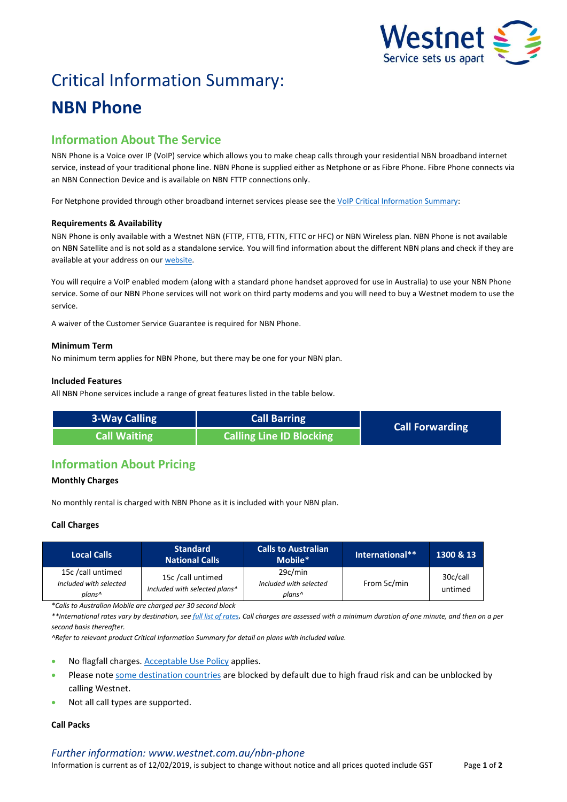

# Critical Information Summary: **NBN Phone**

# **Information About The Service**

NBN Phone is a Voice over IP (VoIP) service which allows you to make cheap calls through your residential NBN broadband internet service, instead of your traditional phone line. NBN Phone is supplied either as Netphone or as Fibre Phone. Fibre Phone connects via an NBN Connection Device and is available on NBN FTTP connections only.

For Netphone provided through other broadband internet services please see th[e VoIP Critical Information Summary:](http://www.westnet.com.au/about/legal/cis/cis-voip.pdf)

# **Requirements & Availability**

NBN Phone is only available with a Westnet NBN (FTTP, FTTB, FTTN, FTTC or HFC) or NBN Wireless plan. NBN Phone is not available on NBN Satellite and is not sold as a standalone service. You will find information about the different NBN plans and check if they are available at your address on our [website.](http://www.westnet.com.au/nbn)

You will require a VoIP enabled modem (along with a standard phone handset approved for use in Australia) to use your NBN Phone service. Some of our NBN Phone services will not work on third party modems and you will need to buy a Westnet modem to use the service.

A waiver of the Customer Service Guarantee is required for NBN Phone.

## **Minimum Term**

No minimum term applies for NBN Phone, but there may be one for your NBN plan.

## **Included Features**

All NBN Phone services include a range of great features listed in the table below.

| 3-Way Calling | <b>Call Barring</b>             | <b>Call Forwarding</b> |  |
|---------------|---------------------------------|------------------------|--|
| Call Waiting  | <b>Calling Line ID Blocking</b> |                        |  |

# **Information About Pricing**

# **Monthly Charges**

No monthly rental is charged with NBN Phone as it is included with your NBN plan.

# **Call Charges**

| <b>Local Calls</b>                                                | <b>Standard</b><br><b>National Calls</b>           | <b>Calls to Australian</b><br>Mobile*       | International** | 1300 & 13           |
|-------------------------------------------------------------------|----------------------------------------------------|---------------------------------------------|-----------------|---------------------|
| 15c /call untimed<br>Included with selected<br>plans <sup>^</sup> | 15c /call untimed<br>Included with selected plans^ | 29c/min<br>Included with selected<br>plans^ | From 5c/min     | 30c/call<br>untimed |

*\*Calls to Australian Mobile are charged per 30 second block* 

*\*\*International rates vary by destination, se[e full list of rates](http://www.westnet.com.au/nbn-phone). Call charges are assessed with a minimum duration of one minute, and then on a per second basis thereafter.*

*^Refer to relevant product Critical Information Summary for detail on plans with included value.*

- No flagfall charges[. Acceptable Use Policy](http://www.westnet.com.au/about/legal) applies.
- Please not[e some destination countries](http://www.iihelp.iinet.net.au/support/node/11531) are blocked by default due to high fraud risk and can be unblocked by calling Westnet.
- Not all call types are supported.

# **Call Packs**

#### *Further information: www.westnet.com.au/nbn-phone*

Information is current as of 12/02/2019, is subject to change without notice and all prices quoted include GST Page **1** of **2**